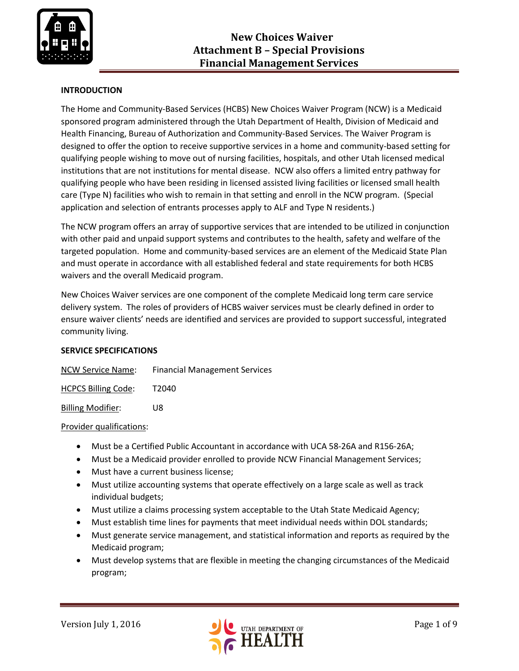

# **INTRODUCTION**

The Home and Community-Based Services (HCBS) New Choices Waiver Program (NCW) is a Medicaid sponsored program administered through the Utah Department of Health, Division of Medicaid and Health Financing, Bureau of Authorization and Community-Based Services. The Waiver Program is designed to offer the option to receive supportive services in a home and community-based setting for qualifying people wishing to move out of nursing facilities, hospitals, and other Utah licensed medical institutions that are not institutions for mental disease. NCW also offers a limited entry pathway for qualifying people who have been residing in licensed assisted living facilities or licensed small health care (Type N) facilities who wish to remain in that setting and enroll in the NCW program. (Special application and selection of entrants processes apply to ALF and Type N residents.)

The NCW program offers an array of supportive services that are intended to be utilized in conjunction with other paid and unpaid support systems and contributes to the health, safety and welfare of the targeted population. Home and community-based services are an element of the Medicaid State Plan and must operate in accordance with all established federal and state requirements for both HCBS waivers and the overall Medicaid program.

New Choices Waiver services are one component of the complete Medicaid long term care service delivery system. The roles of providers of HCBS waiver services must be clearly defined in order to ensure waiver clients' needs are identified and services are provided to support successful, integrated community living.

#### **SERVICE SPECIFICATIONS**

| <b>NCW Service Name:</b> | <b>Financial Management Services</b> |
|--------------------------|--------------------------------------|
|                          |                                      |

HCPCS Billing Code: T2040

Billing Modifier: U8

#### Provider qualifications:

- Must be a Certified Public Accountant in accordance with UCA 58-26A and R156-26A;
- Must be a Medicaid provider enrolled to provide NCW Financial Management Services;
- Must have a current business license;
- Must utilize accounting systems that operate effectively on a large scale as well as track individual budgets;
- Must utilize a claims processing system acceptable to the Utah State Medicaid Agency;
- Must establish time lines for payments that meet individual needs within DOL standards;
- Must generate service management, and statistical information and reports as required by the Medicaid program;
- Must develop systems that are flexible in meeting the changing circumstances of the Medicaid program;

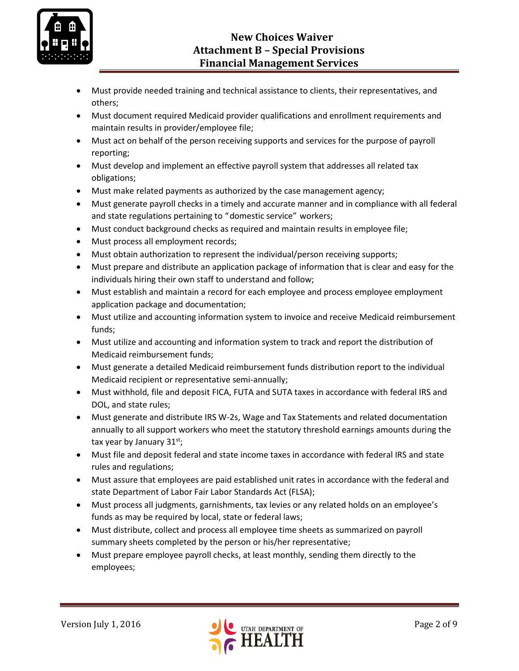

- Must provide needed training and technical assistance to clients, their representatives, and others;
- Must document required Medicaid provider qualifications and enrollment requirements and maintain results in provider/employee file;
- Must act on behalf of the person receiving supports and services for the purpose of payroll reporting;
- Must develop and implement an effective payroll system that addresses all related tax obligations;
- Must make related payments as authorized by the case management agency;
- Must generate payroll checks in a timely and accurate manner and in compliance with all federal and state regulations pertaining to "domestic service" workers;
- Must conduct background checks as required and maintain results in employee file;
- Must process all employment records;
- Must obtain authorization to represent the individual/person receiving supports;
- Must prepare and distribute an application package of information that is clear and easy for the individuals hiring their own staff to understand and follow;
- Must establish and maintain a record for each employee and process employee employment application package and documentation;
- Must utilize and accounting information system to invoice and receive Medicaid reimbursement funds;
- Must utilize and accounting and information system to track and report the distribution of Medicaid reimbursement funds;
- Must generate a detailed Medicaid reimbursement funds distribution report to the individual Medicaid recipient or representative semi-annually;
- Must withhold, file and deposit FICA, FUTA and SUTA taxes in accordance with federal IRS and DOL, and state rules;
- Must generate and distribute IRS W-2s, Wage and Tax Statements and related documentation annually to all support workers who meet the statutory threshold earnings amounts during the tax year by January  $31^{st}$ ;
- Must file and deposit federal and state income taxes in accordance with federal IRS and state rules and regulations;
- Must assure that employees are paid established unit rates in accordance with the federal and state Department of Labor Fair Labor Standards Act (FLSA);
- Must process all judgments, garnishments, tax levies or any related holds on an employee's funds as may be required by local, state or federal laws;
- Must distribute, collect and process all employee time sheets as summarized on payroll summary sheets completed by the person or his/her representative;
- Must prepare employee payroll checks, at least monthly, sending them directly to the employees;

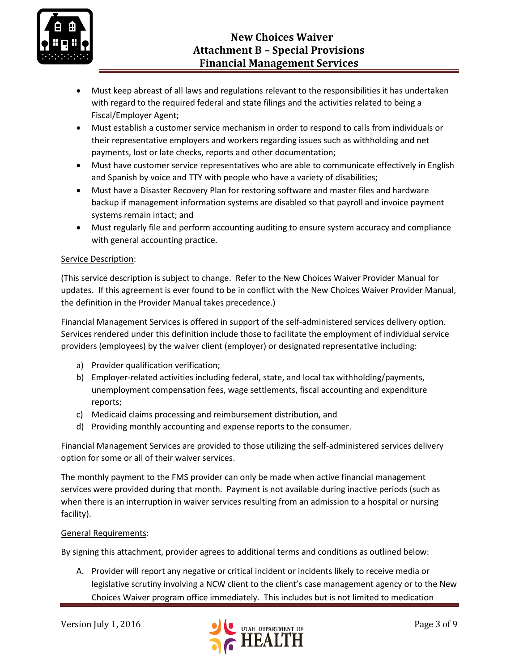

- Must keep abreast of all laws and regulations relevant to the responsibilities it has undertaken with regard to the required federal and state filings and the activities related to being a Fiscal/Employer Agent;
- Must establish a customer service mechanism in order to respond to calls from individuals or their representative employers and workers regarding issues such as withholding and net payments, lost or late checks, reports and other documentation;
- Must have customer service representatives who are able to communicate effectively in English and Spanish by voice and TTY with people who have a variety of disabilities;
- Must have a Disaster Recovery Plan for restoring software and master files and hardware backup if management information systems are disabled so that payroll and invoice payment systems remain intact; and
- Must regularly file and perform accounting auditing to ensure system accuracy and compliance with general accounting practice.

## Service Description:

(This service description is subject to change. Refer to the New Choices Waiver Provider Manual for updates. If this agreement is ever found to be in conflict with the New Choices Waiver Provider Manual, the definition in the Provider Manual takes precedence.)

Financial Management Services is offered in support of the self-administered services delivery option. Services rendered under this definition include those to facilitate the employment of individual service providers (employees) by the waiver client (employer) or designated representative including:

- a) Provider qualification verification;
- b) Employer-related activities including federal, state, and local tax withholding/payments, unemployment compensation fees, wage settlements, fiscal accounting and expenditure reports;
- c) Medicaid claims processing and reimbursement distribution, and
- d) Providing monthly accounting and expense reports to the consumer.

Financial Management Services are provided to those utilizing the self-administered services delivery option for some or all of their waiver services.

The monthly payment to the FMS provider can only be made when active financial management services were provided during that month. Payment is not available during inactive periods (such as when there is an interruption in waiver services resulting from an admission to a hospital or nursing facility).

## General Requirements:

By signing this attachment, provider agrees to additional terms and conditions as outlined below:

A. Provider will report any negative or critical incident or incidents likely to receive media or legislative scrutiny involving a NCW client to the client's case management agency or to the New Choices Waiver program office immediately. This includes but is not limited to medication

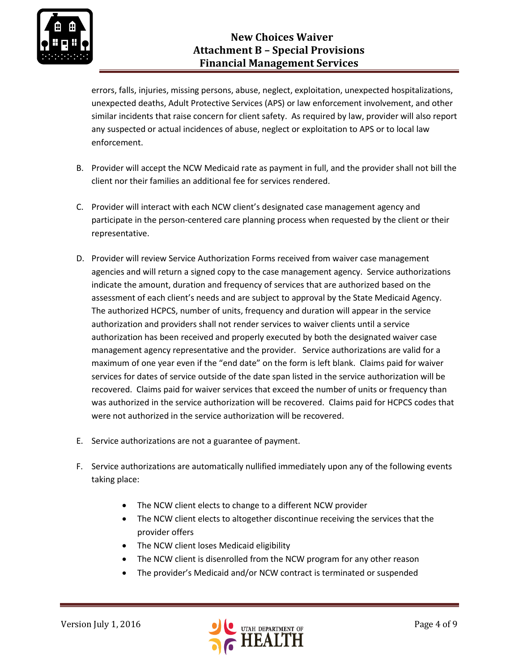

errors, falls, injuries, missing persons, abuse, neglect, exploitation, unexpected hospitalizations, unexpected deaths, Adult Protective Services (APS) or law enforcement involvement, and other similar incidents that raise concern for client safety. As required by law, provider will also report any suspected or actual incidences of abuse, neglect or exploitation to APS or to local law enforcement.

- B. Provider will accept the NCW Medicaid rate as payment in full, and the provider shall not bill the client nor their families an additional fee for services rendered.
- C. Provider will interact with each NCW client's designated case management agency and participate in the person-centered care planning process when requested by the client or their representative.
- D. Provider will review Service Authorization Forms received from waiver case management agencies and will return a signed copy to the case management agency. Service authorizations indicate the amount, duration and frequency of services that are authorized based on the assessment of each client's needs and are subject to approval by the State Medicaid Agency. The authorized HCPCS, number of units, frequency and duration will appear in the service authorization and providers shall not render services to waiver clients until a service authorization has been received and properly executed by both the designated waiver case management agency representative and the provider. Service authorizations are valid for a maximum of one year even if the "end date" on the form is left blank. Claims paid for waiver services for dates of service outside of the date span listed in the service authorization will be recovered. Claims paid for waiver services that exceed the number of units or frequency than was authorized in the service authorization will be recovered. Claims paid for HCPCS codes that were not authorized in the service authorization will be recovered.
- E. Service authorizations are not a guarantee of payment.
- F. Service authorizations are automatically nullified immediately upon any of the following events taking place:
	- The NCW client elects to change to a different NCW provider
	- The NCW client elects to altogether discontinue receiving the services that the provider offers
	- The NCW client loses Medicaid eligibility
	- The NCW client is disenrolled from the NCW program for any other reason
	- The provider's Medicaid and/or NCW contract is terminated or suspended

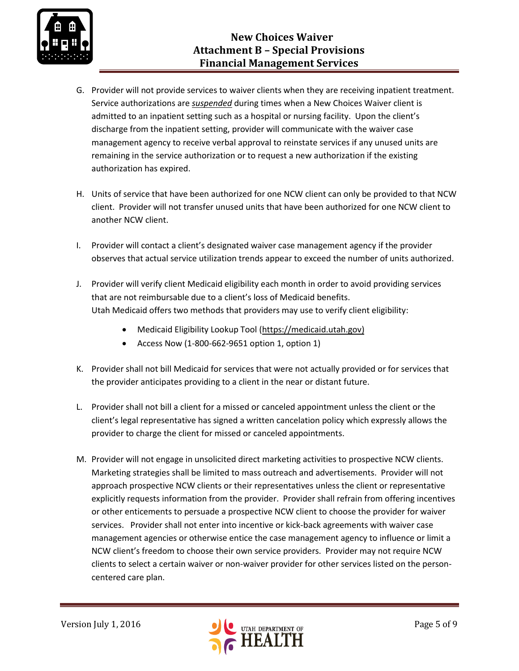

- G. Provider will not provide services to waiver clients when they are receiving inpatient treatment. Service authorizations are *suspended* during times when a New Choices Waiver client is admitted to an inpatient setting such as a hospital or nursing facility. Upon the client's discharge from the inpatient setting, provider will communicate with the waiver case management agency to receive verbal approval to reinstate services if any unused units are remaining in the service authorization or to request a new authorization if the existing authorization has expired.
- H. Units of service that have been authorized for one NCW client can only be provided to that NCW client. Provider will not transfer unused units that have been authorized for one NCW client to another NCW client.
- I. Provider will contact a client's designated waiver case management agency if the provider observes that actual service utilization trends appear to exceed the number of units authorized.
- J. Provider will verify client Medicaid eligibility each month in order to avoid providing services that are not reimbursable due to a client's loss of Medicaid benefits. Utah Medicaid offers two methods that providers may use to verify client eligibility:
	- Medicaid Eligibility Lookup Tool [\(https://medicaid.utah.gov\)](https://medicaid.utah.gov/)
	- Access Now (1-800-662-9651 option 1, option 1)
- K. Provider shall not bill Medicaid for services that were not actually provided or for services that the provider anticipates providing to a client in the near or distant future.
- L. Provider shall not bill a client for a missed or canceled appointment unless the client or the client's legal representative has signed a written cancelation policy which expressly allows the provider to charge the client for missed or canceled appointments.
- M. Provider will not engage in unsolicited direct marketing activities to prospective NCW clients. Marketing strategies shall be limited to mass outreach and advertisements. Provider will not approach prospective NCW clients or their representatives unless the client or representative explicitly requests information from the provider. Provider shall refrain from offering incentives or other enticements to persuade a prospective NCW client to choose the provider for waiver services. Provider shall not enter into incentive or kick-back agreements with waiver case management agencies or otherwise entice the case management agency to influence or limit a NCW client's freedom to choose their own service providers. Provider may not require NCW clients to select a certain waiver or non-waiver provider for other services listed on the personcentered care plan.

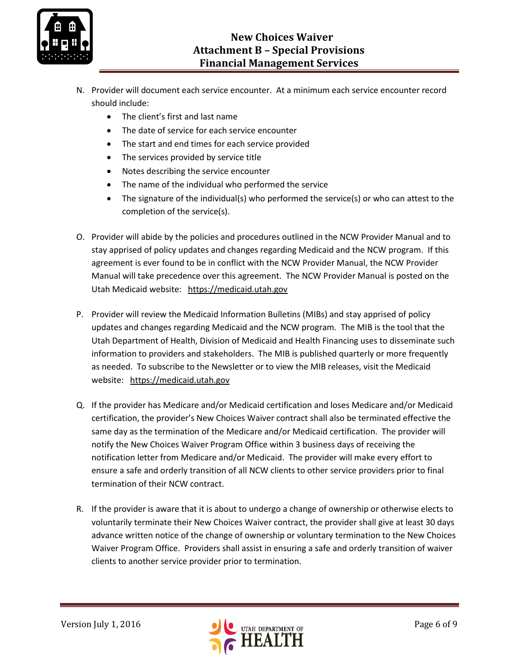

- N. Provider will document each service encounter. At a minimum each service encounter record should include:
	- The client's first and last name
	- The date of service for each service encounter
	- The start and end times for each service provided
	- The services provided by service title
	- Notes describing the service encounter
	- The name of the individual who performed the service
	- $\bullet$  The signature of the individual(s) who performed the service(s) or who can attest to the completion of the service(s).
- O. Provider will abide by the policies and procedures outlined in the NCW Provider Manual and to stay apprised of policy updates and changes regarding Medicaid and the NCW program. If this agreement is ever found to be in conflict with the NCW Provider Manual, the NCW Provider Manual will take precedence over this agreement. The NCW Provider Manual is posted on the Utah Medicaid website: [https://medicaid.utah.gov](https://medicaid.utah.gov/)
- P. Provider will review the Medicaid Information Bulletins (MIBs) and stay apprised of policy updates and changes regarding Medicaid and the NCW program. The MIB is the tool that the Utah Department of Health, Division of Medicaid and Health Financing uses to disseminate such information to providers and stakeholders. The MIB is published quarterly or more frequently as needed. To subscribe to the Newsletter or to view the MIB releases, visit the Medicaid website: [https://medicaid.utah.gov](https://medicaid.utah.gov/)
- Q. If the provider has Medicare and/or Medicaid certification and loses Medicare and/or Medicaid certification, the provider's New Choices Waiver contract shall also be terminated effective the same day as the termination of the Medicare and/or Medicaid certification. The provider will notify the New Choices Waiver Program Office within 3 business days of receiving the notification letter from Medicare and/or Medicaid. The provider will make every effort to ensure a safe and orderly transition of all NCW clients to other service providers prior to final termination of their NCW contract.
- R. If the provider is aware that it is about to undergo a change of ownership or otherwise elects to voluntarily terminate their New Choices Waiver contract, the provider shall give at least 30 days advance written notice of the change of ownership or voluntary termination to the New Choices Waiver Program Office. Providers shall assist in ensuring a safe and orderly transition of waiver clients to another service provider prior to termination.

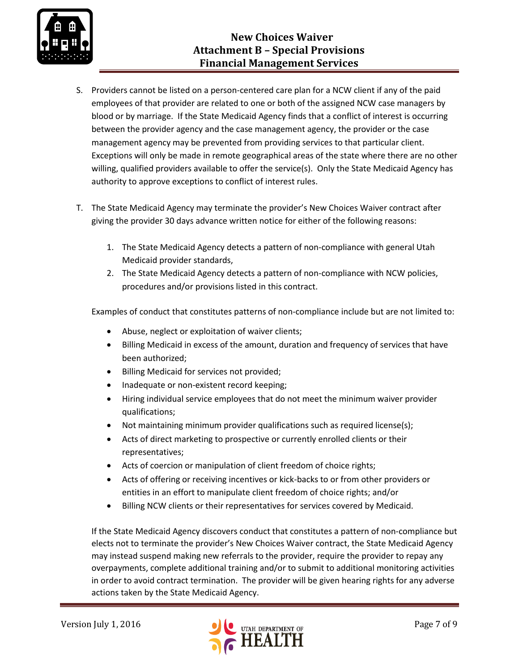

- S. Providers cannot be listed on a person-centered care plan for a NCW client if any of the paid employees of that provider are related to one or both of the assigned NCW case managers by blood or by marriage. If the State Medicaid Agency finds that a conflict of interest is occurring between the provider agency and the case management agency, the provider or the case management agency may be prevented from providing services to that particular client. Exceptions will only be made in remote geographical areas of the state where there are no other willing, qualified providers available to offer the service(s). Only the State Medicaid Agency has authority to approve exceptions to conflict of interest rules.
- T. The State Medicaid Agency may terminate the provider's New Choices Waiver contract after giving the provider 30 days advance written notice for either of the following reasons:
	- 1. The State Medicaid Agency detects a pattern of non-compliance with general Utah Medicaid provider standards,
	- 2. The State Medicaid Agency detects a pattern of non-compliance with NCW policies, procedures and/or provisions listed in this contract.

Examples of conduct that constitutes patterns of non-compliance include but are not limited to:

- Abuse, neglect or exploitation of waiver clients;
- Billing Medicaid in excess of the amount, duration and frequency of services that have been authorized;
- Billing Medicaid for services not provided;
- Inadequate or non-existent record keeping;
- Hiring individual service employees that do not meet the minimum waiver provider qualifications;
- Not maintaining minimum provider qualifications such as required license(s);
- Acts of direct marketing to prospective or currently enrolled clients or their representatives;
- Acts of coercion or manipulation of client freedom of choice rights;
- Acts of offering or receiving incentives or kick-backs to or from other providers or entities in an effort to manipulate client freedom of choice rights; and/or
- Billing NCW clients or their representatives for services covered by Medicaid.

If the State Medicaid Agency discovers conduct that constitutes a pattern of non-compliance but elects not to terminate the provider's New Choices Waiver contract, the State Medicaid Agency may instead suspend making new referrals to the provider, require the provider to repay any overpayments, complete additional training and/or to submit to additional monitoring activities in order to avoid contract termination. The provider will be given hearing rights for any adverse actions taken by the State Medicaid Agency.

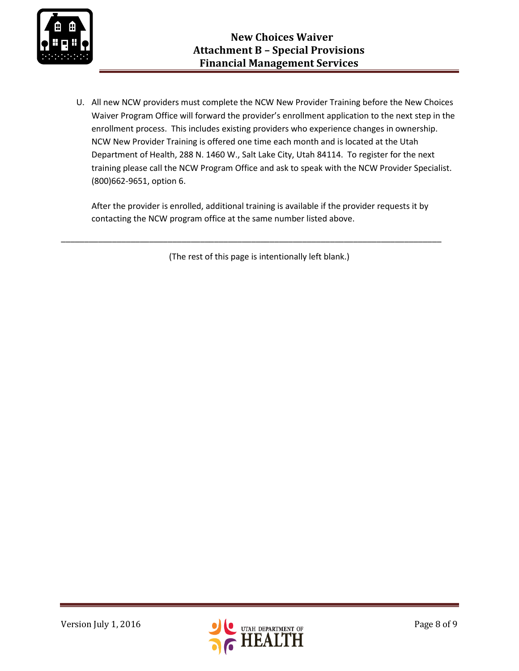

U. All new NCW providers must complete the NCW New Provider Training before the New Choices Waiver Program Office will forward the provider's enrollment application to the next step in the enrollment process. This includes existing providers who experience changes in ownership. NCW New Provider Training is offered one time each month and is located at the Utah Department of Health, 288 N. 1460 W., Salt Lake City, Utah 84114. To register for the next training please call the NCW Program Office and ask to speak with the NCW Provider Specialist. (800)662-9651, option 6.

After the provider is enrolled, additional training is available if the provider requests it by contacting the NCW program office at the same number listed above.

(The rest of this page is intentionally left blank.)

\_\_\_\_\_\_\_\_\_\_\_\_\_\_\_\_\_\_\_\_\_\_\_\_\_\_\_\_\_\_\_\_\_\_\_\_\_\_\_\_\_\_\_\_\_\_\_\_\_\_\_\_\_\_\_\_\_\_\_\_\_\_\_\_\_\_\_\_\_\_\_\_\_\_\_\_\_\_\_\_\_\_